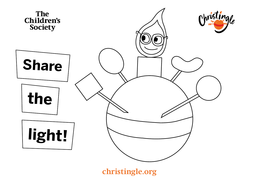

christingle.org